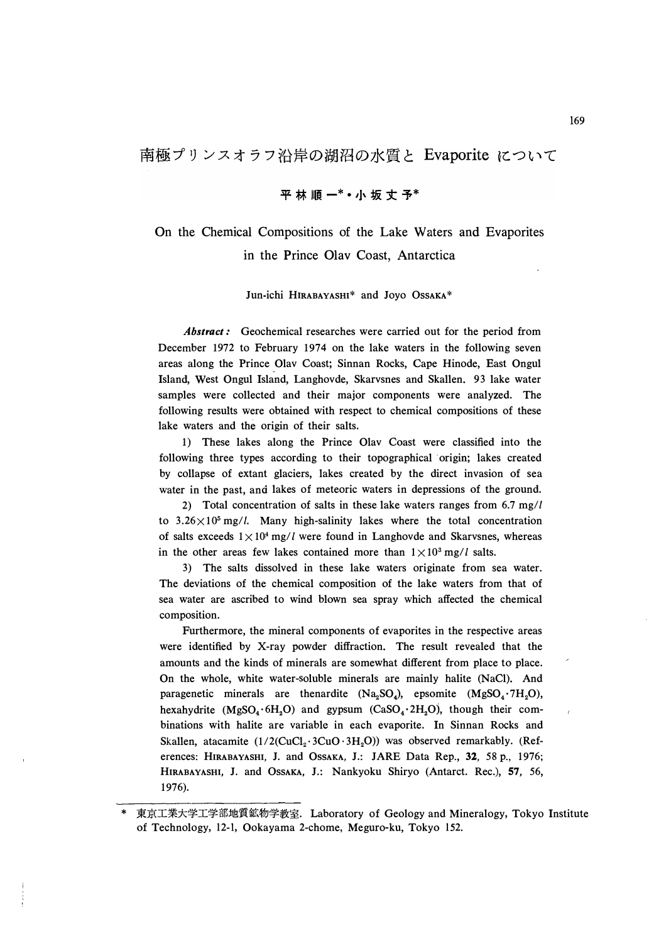## 平林順一\* • 小坂丈予\*

## On the Chemical Compositions of the Lake Waters and Evaporites in the Prince Olav Coast, Antarctica

## Jun-ichi HIRABAYASHI\* and Joyo 0SSAKA\*

*Abstract:* Geochemical researches were carried out for the period from December 1972 to February 1974 on the lake waters in the following seven areas along the Prince Olav Coast; Sinnan Rocks, Cape Hinode, East Ongul Island, West Ongul Island, Langhovde, Skarvsnes and Skallen. 93 lake water samples were collected and their major components were analyzed. The following results were obtained with respect to chemical compositions of these lake waters and the origin of their salts.

1) These lakes along the Prince Olav Coast were classified into the following three types according to their topographical origin; lakes created by collapse of extant glaciers, lakes created by the direct invasion of sea water in the past, and lakes of meteoric waters in depressions of the ground.

2) Total concentration of salts in these lake waters ranges from 6.7 mg// to  $3.26 \times 10^5$  mg/l. Many high-salinity lakes where the total concentration of salts exceeds  $1 \times 10^4$  mg/*l* were found in Langhovde and Skarvsnes, whereas in the other areas few lakes contained more than  $1 \times 10^3$  mg/l salts.

3) The salts dissolved in these lake waters originate from sea water. The deviations of the chemical composition of the lake waters from that of sea water are ascribed to wind blown sea spray which affected the chemical composition.

Furthermore, the mineral components of evaporites in the respective areas were identified by X-ray powder diffraction. The result revealed that the amounts and the kinds of minerals are somewhat different from place to place. On the whole, white water-soluble minerals are mainly halite (NaCl). And paragenetic minerals are thenardite  $(Na_2SO_4)$ , epsomite  $(MgSO_4 \cdot 7H_2O)$ , hexahydrite (MgS0**4 •** 6H**2**0) and gypsum (CaS0**4 •** 2H**2**0), though their combinations with halite are variable in each evaporite. In Sinnan Rocks and Skallen, atacamite (1/2(CuCl<sub>2</sub> · 3CuO · 3H<sub>2</sub>O)) was observed remarkably. (References: HIRABAYASHI, J. and OssAKA, J.: JARE Data Rep., 32, 58 p., 1976; HIRABAYASHI, J. and 0SSAKA, J.: Nankyoku Shiryo (Antarct. Rec.), 57, 56, 1976).

 $\lambda$ 

東京工業大学工学部地質鉱物学教室. Laboratory of Geology and Mineralogy, Tokyo Institute of Technology, 12-1, Ookayama 2-chome, Meguro-ku, Tokyo 152.